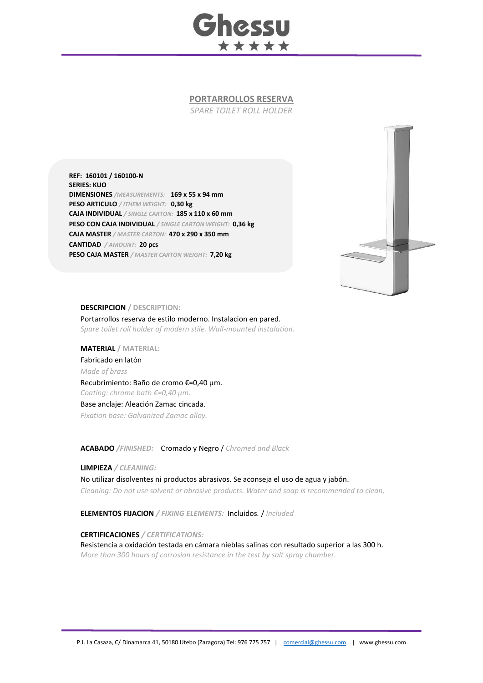

## **PORTARROLLOS RESERVA**

*SPARE TOILET ROLL HOLDER*

**REF: 160101 / 160100-N SERIES: KUO DIMENSIONES** */MEASUREMENTS:* **169 x 55 x 94 mm PESO ARTICULO** */ ITHEM WEIGHT:* **0,30 kg CAJA INDIVIDUAL** */ SINGLE CARTON:* **185 x 110 x 60 mm PESO CON CAJA INDIVIDUAL** */ SINGLE CARTON WEIGHT:* **0,36 kg CAJA MASTER** */ MASTER CARTON:* **470 x 290 x 350 mm CANTIDAD** */ AMOUNT:* **20 pcs PESO CAJA MASTER** */ MASTER CARTON WEIGHT:* **7,20 kg**



## **DESCRIPCION / DESCRIPTION:**

Portarrollos reserva de estilo moderno. Instalacion en pared. *Spare toilet roll holder of modern stile. Wall-mounted instalation.*

**MATERIAL / MATERIAL:**  Fabricado en latón *Made of brass* Recubrimiento: Baño de cromo €=0,40 μm. *Coating: chrome bath €=0,40 μm.* Base anclaje: Aleación Zamac cincada. *Fixation base: Galvanized Zamac alloy.*

**ACABADO** */FINISHED:*Cromado y Negro / *Chromed and Black*

**LIMPIEZA** */ CLEANING:*

No utilizar disolventes ni productos abrasivos. Se aconseja el uso de agua y jabón. *Cleaning: Do not use solvent or abrasive products. Water and soap is recommended to clean.*

**ELEMENTOS FIJACION** */ FIXING ELEMENTS:* Incluidos*.* / *Included*

**CERTIFICACIONES** */ CERTIFICATIONS:*

Resistencia a oxidación testada en cámara nieblas salinas con resultado superior a las 300 h. *More than 300 hours of corrosion resistance in the test by salt spray chamber.*